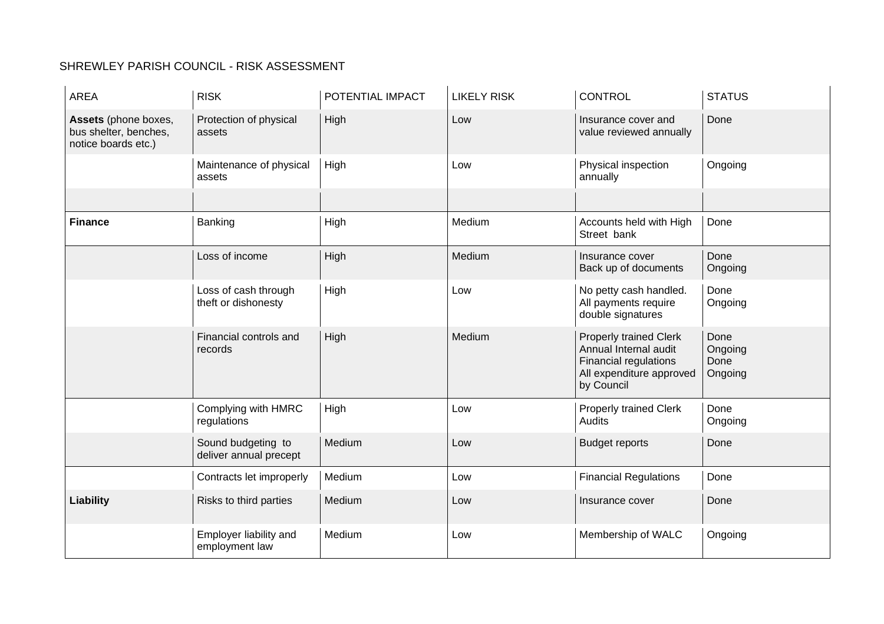## SHREWLEY PARISH COUNCIL - RISK ASSESSMENT

| AREA                                                                 | <b>RISK</b>                                  | POTENTIAL IMPACT | <b>LIKELY RISK</b> | <b>CONTROL</b>                                                                                                            | <b>STATUS</b>                      |
|----------------------------------------------------------------------|----------------------------------------------|------------------|--------------------|---------------------------------------------------------------------------------------------------------------------------|------------------------------------|
| Assets (phone boxes,<br>bus shelter, benches,<br>notice boards etc.) | Protection of physical<br>assets             | High             | Low                | Insurance cover and<br>value reviewed annually                                                                            | Done                               |
|                                                                      | Maintenance of physical<br>assets            | High             | Low                | Physical inspection<br>annually                                                                                           | Ongoing                            |
|                                                                      |                                              |                  |                    |                                                                                                                           |                                    |
| <b>Finance</b>                                                       | Banking                                      | High             | Medium             | Accounts held with High<br>Street bank                                                                                    | Done                               |
|                                                                      | Loss of income                               | High             | Medium             | Insurance cover<br>Back up of documents                                                                                   | Done<br>Ongoing                    |
|                                                                      | Loss of cash through<br>theft or dishonesty  | High             | Low                | No petty cash handled.<br>All payments require<br>double signatures                                                       | Done<br>Ongoing                    |
|                                                                      | Financial controls and<br>records            | High             | Medium             | <b>Properly trained Clerk</b><br>Annual Internal audit<br>Financial regulations<br>All expenditure approved<br>by Council | Done<br>Ongoing<br>Done<br>Ongoing |
|                                                                      | Complying with HMRC<br>regulations           | High             | Low                | <b>Properly trained Clerk</b><br><b>Audits</b>                                                                            | Done<br>Ongoing                    |
|                                                                      | Sound budgeting to<br>deliver annual precept | Medium           | Low                | <b>Budget reports</b>                                                                                                     | Done                               |
|                                                                      | Contracts let improperly                     | Medium           | Low                | <b>Financial Regulations</b>                                                                                              | Done                               |
| Liability                                                            | Risks to third parties                       | Medium           | Low                | Insurance cover                                                                                                           | Done                               |
|                                                                      | Employer liability and<br>employment law     | Medium           | Low                | Membership of WALC                                                                                                        | Ongoing                            |